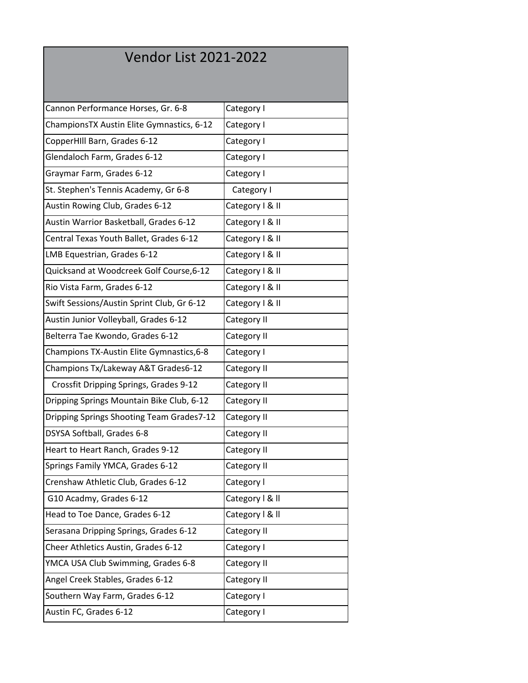## Vendor List 2021-2022

| Cannon Performance Horses, Gr. 6-8         | Category I      |
|--------------------------------------------|-----------------|
| ChampionsTX Austin Elite Gymnastics, 6-12  | Category I      |
| CopperHIll Barn, Grades 6-12               | Category I      |
| Glendaloch Farm, Grades 6-12               | Category I      |
| Graymar Farm, Grades 6-12                  | Category I      |
| St. Stephen's Tennis Academy, Gr 6-8       | Category I      |
| Austin Rowing Club, Grades 6-12            | Category I & II |
| Austin Warrior Basketball, Grades 6-12     | Category   & II |
| Central Texas Youth Ballet, Grades 6-12    | Category   & II |
| LMB Equestrian, Grades 6-12                | Category   & II |
| Quicksand at Woodcreek Golf Course, 6-12   | Category   & II |
| Rio Vista Farm, Grades 6-12                | Category   & II |
| Swift Sessions/Austin Sprint Club, Gr 6-12 | Category   & II |
| Austin Junior Volleyball, Grades 6-12      | Category II     |
| Belterra Tae Kwondo, Grades 6-12           | Category II     |
| Champions TX-Austin Elite Gymnastics, 6-8  | Category I      |
| Champions Tx/Lakeway A&T Grades6-12        | Category II     |
| Crossfit Dripping Springs, Grades 9-12     | Category II     |
| Dripping Springs Mountain Bike Club, 6-12  | Category II     |
| Dripping Springs Shooting Team Grades7-12  | Category II     |
| DSYSA Softball, Grades 6-8                 | Category II     |
| Heart to Heart Ranch, Grades 9-12          | Category II     |
| Springs Family YMCA, Grades 6-12           | Category II     |
| Crenshaw Athletic Club, Grades 6-12        | Category I      |
| G10 Acadmy, Grades 6-12                    | Category   & II |
| Head to Toe Dance, Grades 6-12             | Category   & II |
| Serasana Dripping Springs, Grades 6-12     | Category II     |
| Cheer Athletics Austin, Grades 6-12        | Category I      |
| YMCA USA Club Swimming, Grades 6-8         | Category II     |
| Angel Creek Stables, Grades 6-12           | Category II     |
| Southern Way Farm, Grades 6-12             | Category I      |
| Austin FC, Grades 6-12                     | Category I      |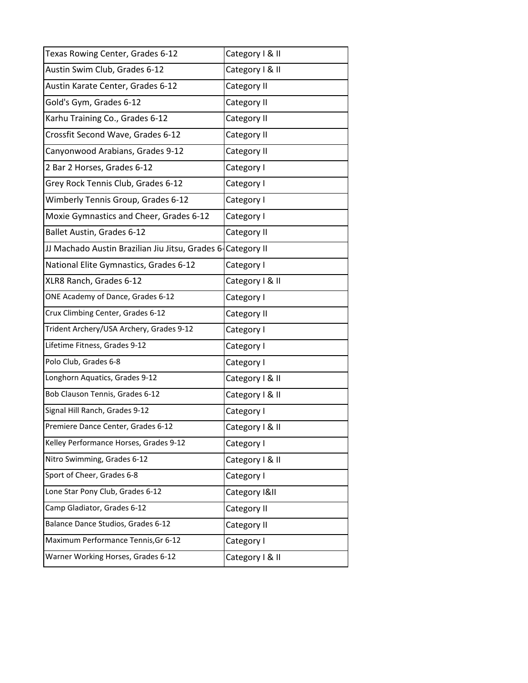| Texas Rowing Center, Grades 6-12                             | Category I & II |
|--------------------------------------------------------------|-----------------|
| Austin Swim Club, Grades 6-12                                | Category   & II |
| Austin Karate Center, Grades 6-12                            | Category II     |
| Gold's Gym, Grades 6-12                                      | Category II     |
| Karhu Training Co., Grades 6-12                              | Category II     |
| Crossfit Second Wave, Grades 6-12                            | Category II     |
| Canyonwood Arabians, Grades 9-12                             | Category II     |
| 2 Bar 2 Horses, Grades 6-12                                  | Category I      |
| Grey Rock Tennis Club, Grades 6-12                           | Category I      |
| Wimberly Tennis Group, Grades 6-12                           | Category I      |
| Moxie Gymnastics and Cheer, Grades 6-12                      | Category I      |
| Ballet Austin, Grades 6-12                                   | Category II     |
| JJ Machado Austin Brazilian Jiu Jitsu, Grades 6- Category II |                 |
| National Elite Gymnastics, Grades 6-12                       | Category I      |
| XLR8 Ranch, Grades 6-12                                      | Category I & II |
| ONE Academy of Dance, Grades 6-12                            | Category I      |
| Crux Climbing Center, Grades 6-12                            | Category II     |
| Trident Archery/USA Archery, Grades 9-12                     | Category I      |
| Lifetime Fitness, Grades 9-12                                | Category I      |
| Polo Club, Grades 6-8                                        | Category I      |
| Longhorn Aquatics, Grades 9-12                               | Category I & II |
| Bob Clauson Tennis, Grades 6-12                              | Category   & II |
| Signal Hill Ranch, Grades 9-12                               | Category I      |
| Premiere Dance Center, Grades 6-12                           | Category   & II |
| Kelley Performance Horses, Grades 9-12                       | Category I      |
| Nitro Swimming, Grades 6-12                                  | Category   & II |
| Sport of Cheer, Grades 6-8                                   | Category I      |
| Lone Star Pony Club, Grades 6-12                             | Category I&II   |
| Camp Gladiator, Grades 6-12                                  | Category II     |
| Balance Dance Studios, Grades 6-12                           | Category II     |
| Maximum Performance Tennis, Gr 6-12                          | Category I      |
| Warner Working Horses, Grades 6-12                           | Category   & II |